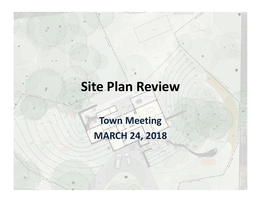# **Site Plan Review**

#### **Town Meeting MARCH 24, 2018**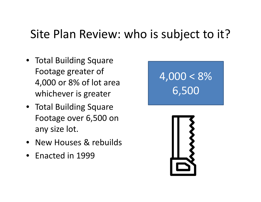#### Site Plan Review: who is subject to it?

- Total Building Square Footage greater of 4,000 or 8% of lot area whichever is greater
- Total Building Square Footage over 6,500 on any size lot.
- New Houses & rebuilds
- Enacted in 1999

# $4,000 < 8\%$ 6,500

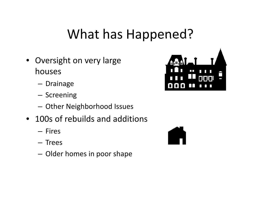### What has Happened?

- Oversight on very large houses
	- Drainage
	- Screening
	- Other Neighborhood Issues
- 100s of rebuilds and additions
	- Fires
	- Trees
	- Older homes in poor shape



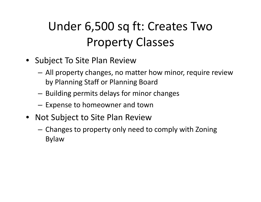### Under 6,500 sq ft: Creates Two Property Classes

- Subject To Site Plan Review
	- All property changes, no matter how minor, require review by Planning Staff or Planning Board
	- Building permits delays for minor changes
	- Expense to homeowner and town
- Not Subject to Site Plan Review
	- Changes to property only need to comply with Zoning Bylaw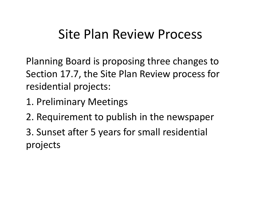#### Site Plan Review Process

Planning Board is proposing three changes to Section 17.7, the Site Plan Review process for residential projects:

- 1. Preliminary Meetings
- 2. Requirement to publish in the newspaper

3. Sunset after 5 years for small residential projects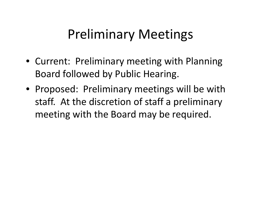### Preliminary Meetings

- Current: Preliminary meeting with Planning Board followed by Public Hearing.
- Proposed: Preliminary meetings will be with staff. At the discretion of staff a preliminary meeting with the Board may be required.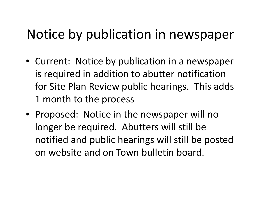## Notice by publication in newspaper

- Current: Notice by publication in a newspaper is required in addition to abutter notification for Site Plan Review public hearings. This adds 1 month to the process
- Proposed: Notice in the newspaper will no longer be required. Abutters will still be notified and public hearings will still be posted on website and on Town bulletin board.